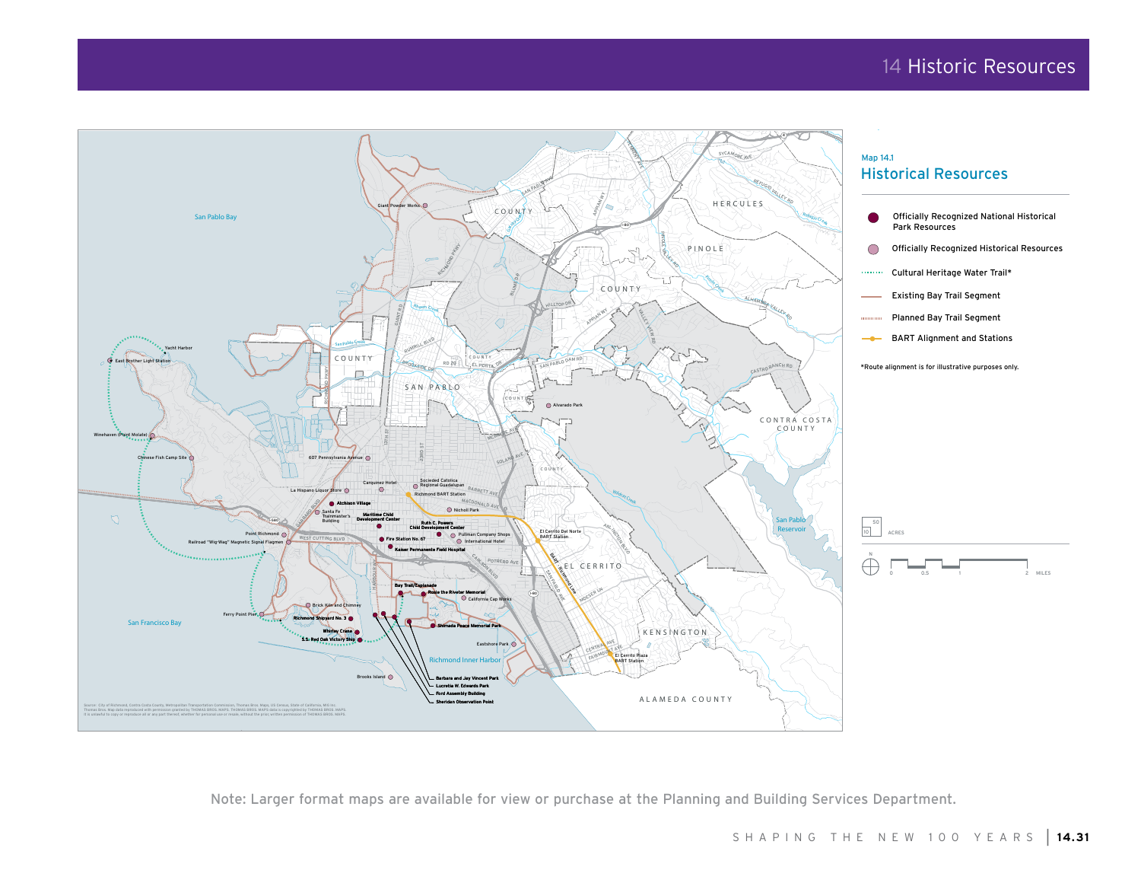## 14 Historic Resources



Note: Larger format maps are available for view or purchase at the Planning and Building Services Department.